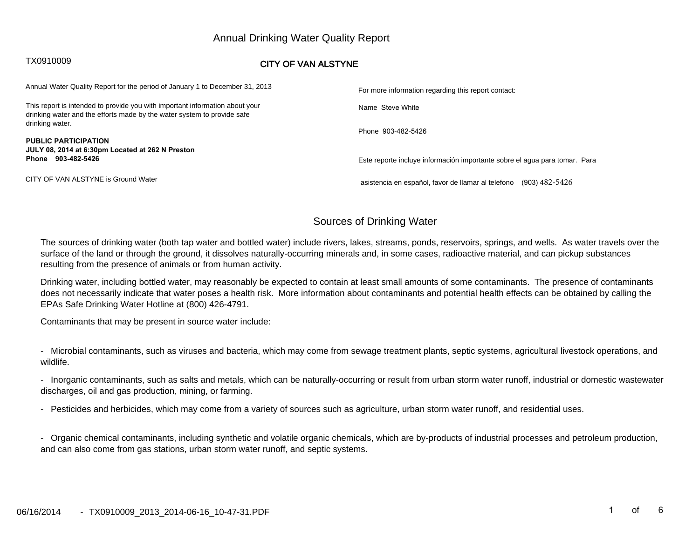# Annual Drinking Water Quality Report

# TX0910009 **CITY OF VAN ALSTYNE**

| Annual Water Quality Report for the period of January 1 to December 31, 2013                                                                            | For more information regarding this report contact:                        |  |  |  |  |
|---------------------------------------------------------------------------------------------------------------------------------------------------------|----------------------------------------------------------------------------|--|--|--|--|
| This report is intended to provide you with important information about your<br>drinking water and the efforts made by the water system to provide safe | Name Steve White                                                           |  |  |  |  |
| drinking water.<br><b>PUBLIC PARTICIPATION</b>                                                                                                          | Phone 903-482-5426                                                         |  |  |  |  |
| JULY 08, 2014 at 6:30pm Located at 262 N Preston                                                                                                        |                                                                            |  |  |  |  |
| Phone 903-482-5426                                                                                                                                      | Este reporte incluye información importante sobre el agua para tomar. Para |  |  |  |  |
| CITY OF VAN ALSTYNE is Ground Water                                                                                                                     | asistencia en español, favor de llamar al telefono<br>(903) 482-5426       |  |  |  |  |

# Sources of Drinking Water

The sources of drinking water (both tap water and bottled water) include rivers, lakes, streams, ponds, reservoirs, springs, and wells. As water travels over thesurface of the land or through the ground, it dissolves naturally-occurring minerals and, in some cases, radioactive material, and can pickup substancesresulting from the presence of animals or from human activity.

Drinking water, including bottled water, may reasonably be expected to contain at least small amounts of some contaminants. The presence of contaminants does not necessarily indicate that water poses a health risk. More information about contaminants and potential health effects can be obtained by calling theEPAs Safe Drinking Water Hotline at (800) 426-4791.

Contaminants that may be present in source water include:

- Microbial contaminants, such as viruses and bacteria, which may come from sewage treatment plants, septic systems, agricultural livestock operations, andwildlife.

- Inorganic contaminants, such as salts and metals, which can be naturally-occurring or result from urban storm water runoff, industrial or domestic wastewaterdischarges, oil and gas production, mining, or farming.

- Pesticides and herbicides, which may come from a variety of sources such as agriculture, urban storm water runoff, and residential uses.

- Organic chemical contaminants, including synthetic and volatile organic chemicals, which are by-products of industrial processes and petroleum production,and can also come from gas stations, urban storm water runoff, and septic systems.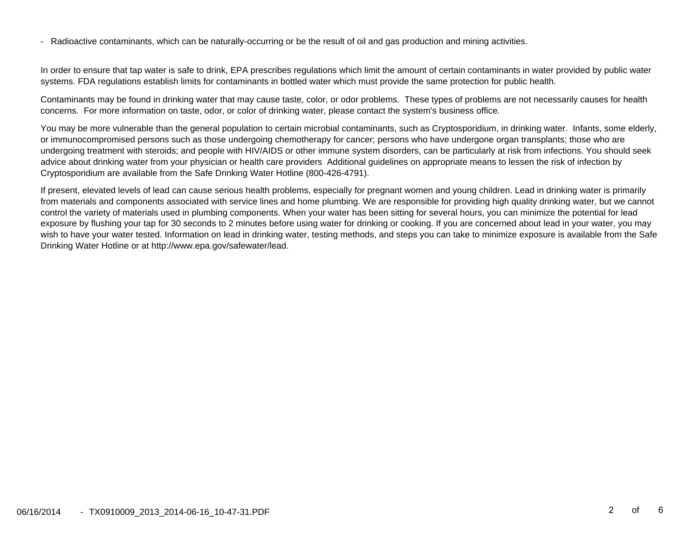- Radioactive contaminants, which can be naturally-occurring or be the result of oil and gas production and mining activities.

In order to ensure that tap water is safe to drink, EPA prescribes regulations which limit the amount of certain contaminants in water provided by public watersystems. FDA regulations establish limits for contaminants in bottled water which must provide the same protection for public health.

Contaminants may be found in drinking water that may cause taste, color, or odor problems. These types of problems are not necessarily causes for healthconcerns. For more information on taste, odor, or color of drinking water, please contact the system's business office.

You may be more vulnerable than the general population to certain microbial contaminants, such as Cryptosporidium, in drinking water. Infants, some elderly,or immunocompromised persons such as those undergoing chemotherapy for cancer; persons who have undergone organ transplants; those who are undergoing treatment with steroids; and people with HIV/AIDS or other immune system disorders, can be particularly at risk from infections. You should seekadvice about drinking water from your physician or health care providers Additional guidelines on appropriate means to lessen the risk of infection byCryptosporidium are available from the Safe Drinking Water Hotline (800-426-4791).

If present, elevated levels of lead can cause serious health problems, especially for pregnant women and young children. Lead in drinking water is primarily from materials and components associated with service lines and home plumbing. We are responsible for providing high quality drinking water, but we cannotcontrol the variety of materials used in plumbing components. When your water has been sitting for several hours, you can minimize the potential for lead exposure by flushing your tap for 30 seconds to 2 minutes before using water for drinking or cooking. If you are concerned about lead in your water, you may wish to have your water tested. Information on lead in drinking water, testing methods, and steps you can take to minimize exposure is available from the SafeDrinking Water Hotline or at http://www.epa.gov/safewater/lead.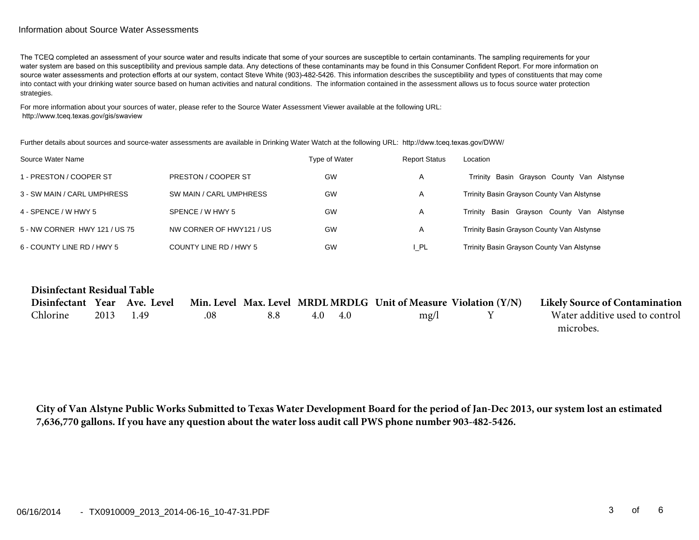#### Information about Source Water Assessments

The TCEQ completed an assessment of your source water and results indicate that some of your sources are susceptible to certain contaminants. The sampling requirements for your water system are based on this susceptibility and previous sample data. Any detections of these contaminants may be found in this Consumer Confident Report. For more information on source water assessments and protection efforts at our system, contact Steve White (903)-482-5426. This information describes the susceptibility and types of constituents that may come into contact with your drinking water source based on human activities and natural conditions. The information contained in the assessment allows us to focus source water protection strategies.

For more information about your sources of water, please refer to the Source Water Assessment Viewer available at the following URL:http://www.tceq.texas.gov/gis/swaview

Further details about sources and source-water assessments are available in Drinking Water Watch at the following URL: http://dww.tceq.texas.gov/DWW/

| Source Water Name             |                          | Type of Water | <b>Report Status</b> | Location                                         |
|-------------------------------|--------------------------|---------------|----------------------|--------------------------------------------------|
| 1 - PRESTON / COOPER ST       | PRESTON / COOPER ST      | GW            | A                    | Trrinity Basin Grayson County Van Alstynse       |
| 3 - SW MAIN / CARL UMPHRESS   | SW MAIN / CARL UMPHRESS  | GW            | A                    | Trrinity Basin Grayson County Van Alstynse       |
| 4 - SPENCE / W HWY 5          | SPENCE / W HWY 5         | GW            | A                    | Basin Grayson County<br>Trrinitv<br>Van Alstynse |
| 5 - NW CORNER HWY 121 / US 75 | NW CORNER OF HWY121 / US | GW            | A                    | Trrinity Basin Grayson County Van Alstynse       |
| 6 - COUNTY LINE RD / HWY 5    | COUNTY LINE RD / HWY 5   | GW            | ∣ PL                 | Trrinity Basin Grayson County Van Alstynse       |

| Disinfectant Residual Table |      |                              |     |     |     |     |                                                                    |                                       |
|-----------------------------|------|------------------------------|-----|-----|-----|-----|--------------------------------------------------------------------|---------------------------------------|
|                             |      | Disinfectant Year Ave. Level |     |     |     |     | Min. Level Max. Level MRDL MRDLG Unit of Measure Violation $(Y/N)$ | <b>Likely Source of Contamination</b> |
| Chlorine                    | 2013 | 149                          | .08 | 8.8 | 4.0 | -40 | mg/l                                                               | Water additive used to control        |
|                             |      |                              |     |     |     |     |                                                                    | microbes.                             |

**City of Van Alstyne Public Works Submitted to Texas Water Development Board for the period of Jan-Dec 2013, our system lost an estimated 7,636,770 gallons. If you have any question about the water loss audit call PWS phone number 903-482-5426.**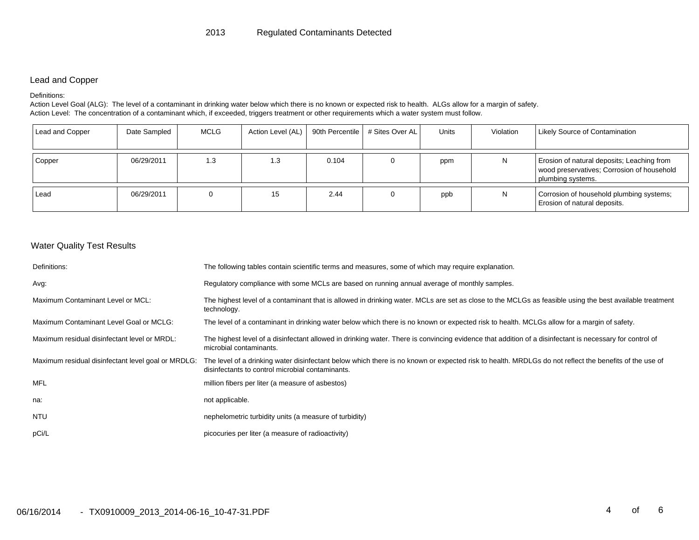#### Lead and Copper

#### Definitions:

Action Level Goal (ALG): The level of a contaminant in drinking water below which there is no known or expected risk to health. ALGs allow for a margin of safety. Action Level: The concentration of a contaminant which, if exceeded, triggers treatment or other requirements which a water system must follow.

| Lead and Copper | Date Sampled | MCLG | Action Level (AL) |       | 90th Percentile   # Sites Over AL | Units | Violation | <b>Likely Source of Contamination</b>                                                                         |
|-----------------|--------------|------|-------------------|-------|-----------------------------------|-------|-----------|---------------------------------------------------------------------------------------------------------------|
| Copper          | 06/29/2011   | 1.3  | 1.3               | 0.104 |                                   | ppm   |           | Erosion of natural deposits; Leaching from<br>wood preservatives; Corrosion of household<br>plumbing systems. |
| Lead            | 06/29/2011   |      | 15                | 2.44  | 0                                 | ppb   | N         | Corrosion of household plumbing systems;<br>Erosion of natural deposits.                                      |

### Water Quality Test Results

| Definitions:                                       | The following tables contain scientific terms and measures, some of which may require explanation.                                                                                                        |
|----------------------------------------------------|-----------------------------------------------------------------------------------------------------------------------------------------------------------------------------------------------------------|
| Avg:                                               | Regulatory compliance with some MCLs are based on running annual average of monthly samples.                                                                                                              |
| Maximum Contaminant Level or MCL:                  | The highest level of a contaminant that is allowed in drinking water. MCLs are set as close to the MCLGs as feasible using the best available treatment<br>technology.                                    |
| Maximum Contaminant Level Goal or MCLG:            | The level of a contaminant in drinking water below which there is no known or expected risk to health. MCLGs allow for a margin of safety.                                                                |
| Maximum residual disinfectant level or MRDL:       | The highest level of a disinfectant allowed in drinking water. There is convincing evidence that addition of a disinfectant is necessary for control of<br>microbial contaminants.                        |
| Maximum residual disinfectant level goal or MRDLG: | The level of a drinking water disinfectant below which there is no known or expected risk to health. MRDLGs do not reflect the benefits of the use of<br>disinfectants to control microbial contaminants. |
| MFL                                                | million fibers per liter (a measure of asbestos)                                                                                                                                                          |
| na:                                                | not applicable.                                                                                                                                                                                           |
| NTU                                                | nephelometric turbidity units (a measure of turbidity)                                                                                                                                                    |
| pCi/L                                              | picocuries per liter (a measure of radioactivity)                                                                                                                                                         |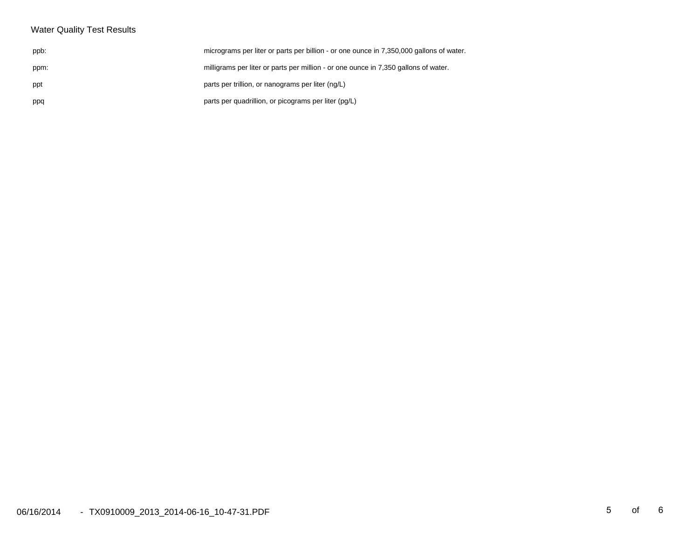# Water Quality Test Results

| ppb: | micrograms per liter or parts per billion - or one ounce in 7,350,000 gallons of water |
|------|----------------------------------------------------------------------------------------|
| ppm: | milligrams per liter or parts per million - or one ounce in 7,350 gallons of water.    |
| ppt  | parts per trillion, or nanograms per liter (ng/L)                                      |
| ppq  | parts per quadrillion, or picograms per liter (pg/L)                                   |